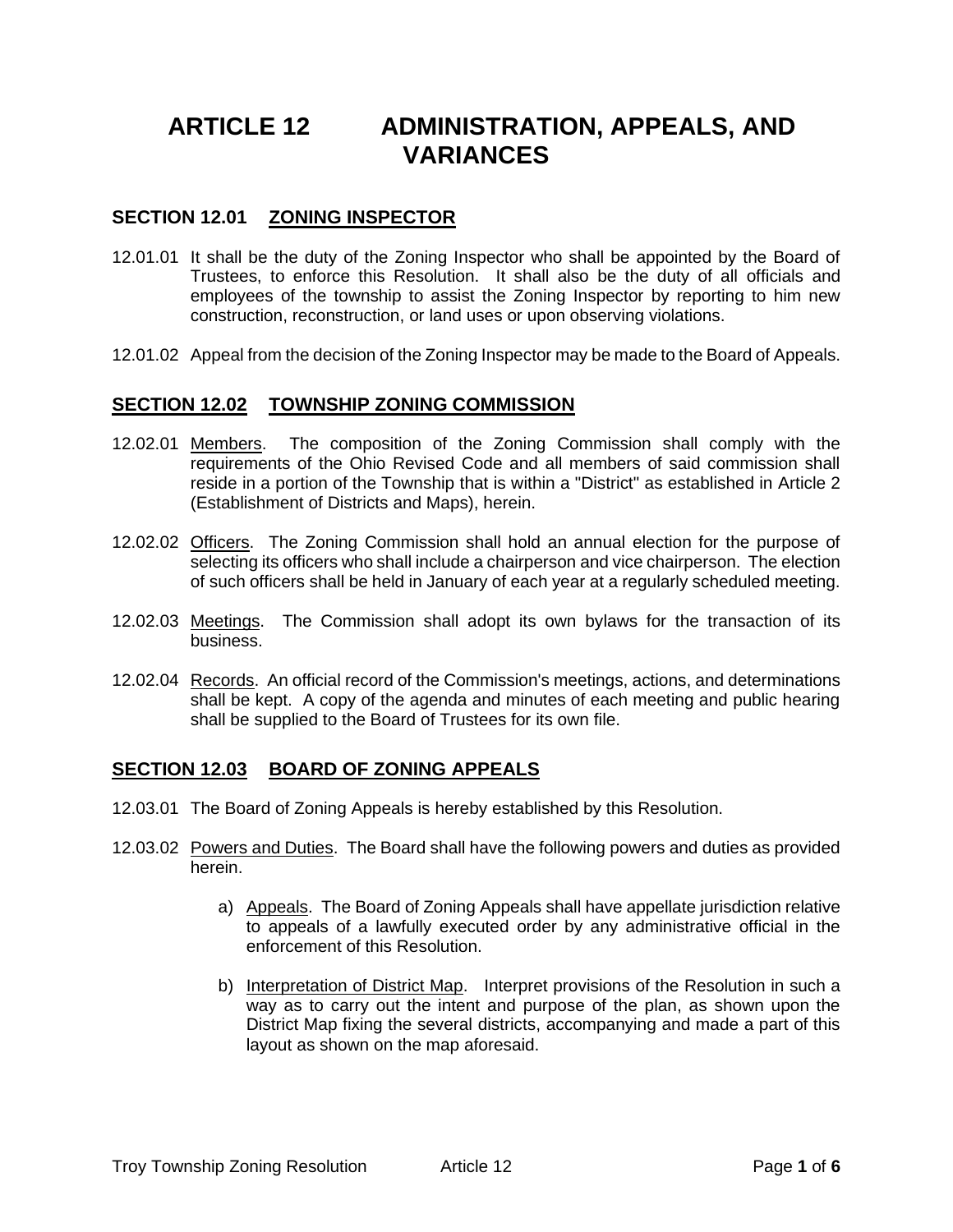# **ARTICLE 12 ADMINISTRATION, APPEALS, AND VARIANCES**

#### **SECTION 12.01 ZONING INSPECTOR**

- 12.01.01 It shall be the duty of the Zoning Inspector who shall be appointed by the Board of Trustees, to enforce this Resolution. It shall also be the duty of all officials and employees of the township to assist the Zoning Inspector by reporting to him new construction, reconstruction, or land uses or upon observing violations.
- 12.01.02 Appeal from the decision of the Zoning Inspector may be made to the Board of Appeals.

#### **SECTION 12.02 TOWNSHIP ZONING COMMISSION**

- 12.02.01 Members. The composition of the Zoning Commission shall comply with the requirements of the Ohio Revised Code and all members of said commission shall reside in a portion of the Township that is within a "District" as established in Article 2 (Establishment of Districts and Maps), herein.
- 12.02.02 Officers. The Zoning Commission shall hold an annual election for the purpose of selecting its officers who shall include a chairperson and vice chairperson. The election of such officers shall be held in January of each year at a regularly scheduled meeting.
- 12.02.03 Meetings. The Commission shall adopt its own bylaws for the transaction of its business.
- 12.02.04 Records. An official record of the Commission's meetings, actions, and determinations shall be kept. A copy of the agenda and minutes of each meeting and public hearing shall be supplied to the Board of Trustees for its own file.

### **SECTION 12.03 BOARD OF ZONING APPEALS**

- 12.03.01 The Board of Zoning Appeals is hereby established by this Resolution.
- 12.03.02 Powers and Duties. The Board shall have the following powers and duties as provided herein.
	- a) Appeals. The Board of Zoning Appeals shall have appellate jurisdiction relative to appeals of a lawfully executed order by any administrative official in the enforcement of this Resolution.
	- b) Interpretation of District Map. Interpret provisions of the Resolution in such a way as to carry out the intent and purpose of the plan, as shown upon the District Map fixing the several districts, accompanying and made a part of this layout as shown on the map aforesaid.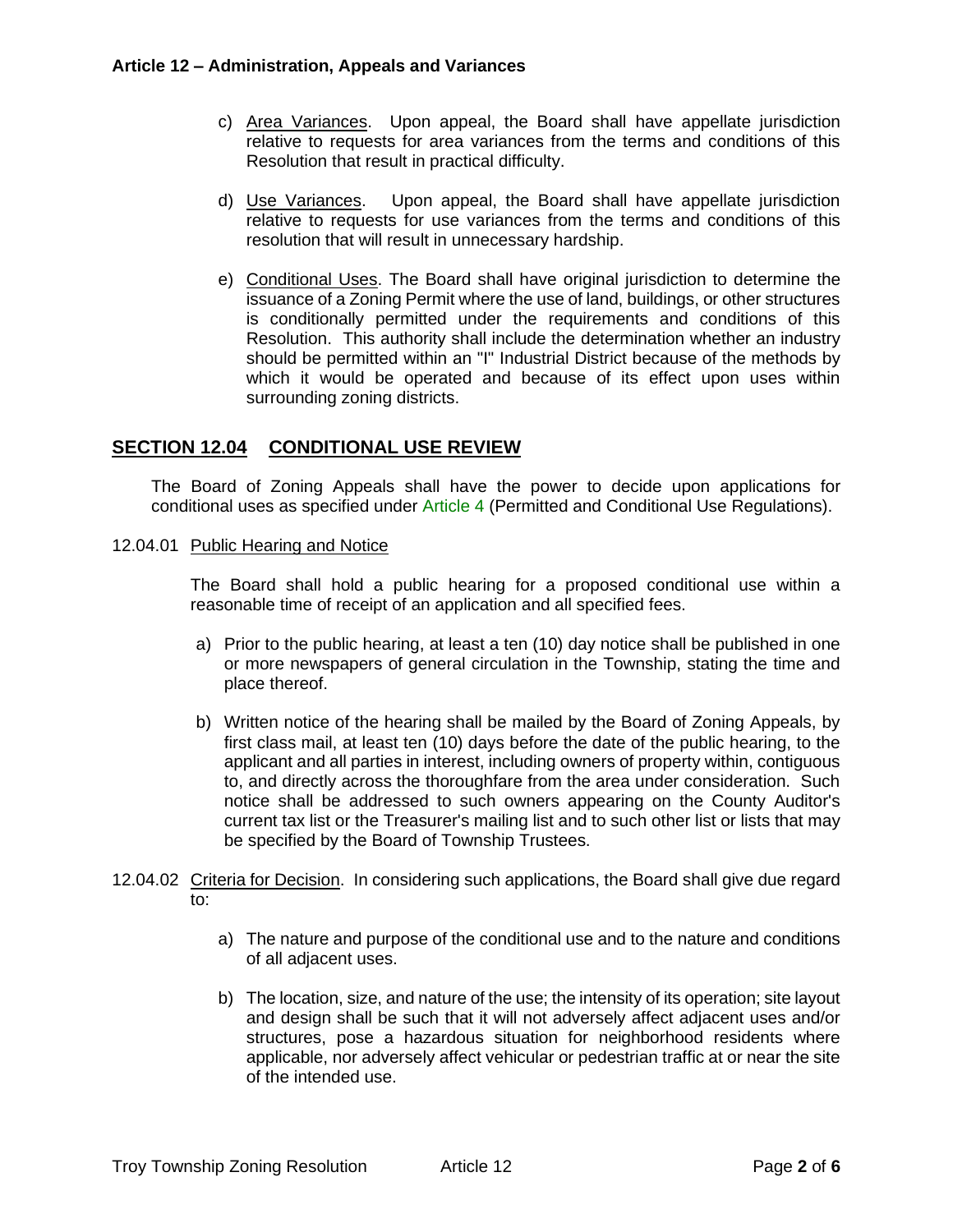- c) Area Variances. Upon appeal, the Board shall have appellate jurisdiction relative to requests for area variances from the terms and conditions of this Resolution that result in practical difficulty.
- d) Use Variances. Upon appeal, the Board shall have appellate jurisdiction relative to requests for use variances from the terms and conditions of this resolution that will result in unnecessary hardship.
- e) Conditional Uses. The Board shall have original jurisdiction to determine the issuance of a Zoning Permit where the use of land, buildings, or other structures is conditionally permitted under the requirements and conditions of this Resolution. This authority shall include the determination whether an industry should be permitted within an "I" Industrial District because of the methods by which it would be operated and because of its effect upon uses within surrounding zoning districts.

## **SECTION 12.04 CONDITIONAL USE REVIEW**

The Board of Zoning Appeals shall have the power to decide upon applications for conditional uses as specified under Article 4 (Permitted and Conditional Use Regulations).

#### 12.04.01 Public Hearing and Notice

The Board shall hold a public hearing for a proposed conditional use within a reasonable time of receipt of an application and all specified fees.

- a) Prior to the public hearing, at least a ten (10) day notice shall be published in one or more newspapers of general circulation in the Township, stating the time and place thereof.
- b) Written notice of the hearing shall be mailed by the Board of Zoning Appeals, by first class mail, at least ten (10) days before the date of the public hearing, to the applicant and all parties in interest, including owners of property within, contiguous to, and directly across the thoroughfare from the area under consideration. Such notice shall be addressed to such owners appearing on the County Auditor's current tax list or the Treasurer's mailing list and to such other list or lists that may be specified by the Board of Township Trustees.
- 12.04.02 Criteria for Decision. In considering such applications, the Board shall give due regard to:
	- a) The nature and purpose of the conditional use and to the nature and conditions of all adjacent uses.
	- b) The location, size, and nature of the use; the intensity of its operation; site layout and design shall be such that it will not adversely affect adjacent uses and/or structures, pose a hazardous situation for neighborhood residents where applicable, nor adversely affect vehicular or pedestrian traffic at or near the site of the intended use.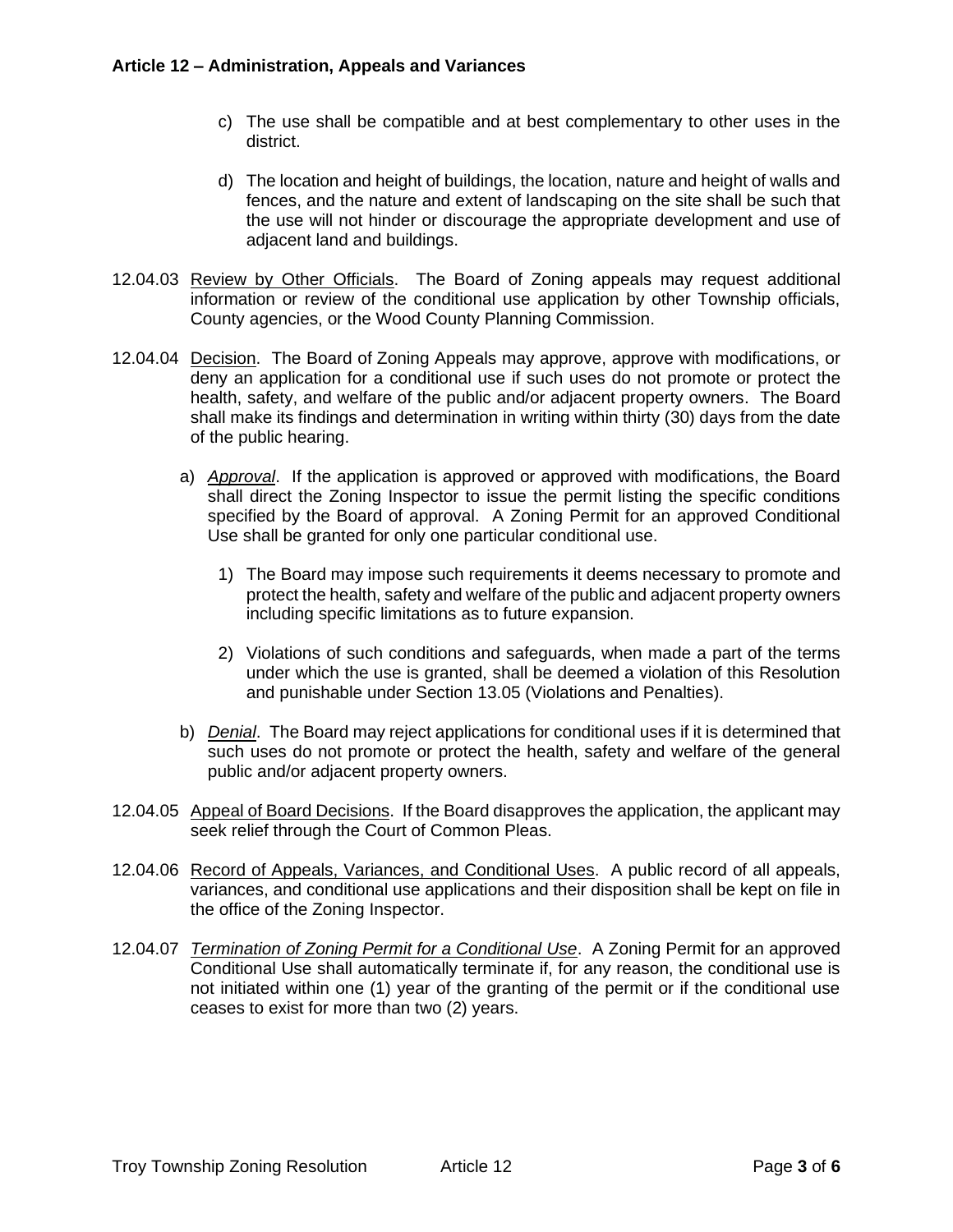- c) The use shall be compatible and at best complementary to other uses in the district.
- d) The location and height of buildings, the location, nature and height of walls and fences, and the nature and extent of landscaping on the site shall be such that the use will not hinder or discourage the appropriate development and use of adjacent land and buildings.
- 12.04.03 Review by Other Officials. The Board of Zoning appeals may request additional information or review of the conditional use application by other Township officials, County agencies, or the Wood County Planning Commission.
- 12.04.04 Decision. The Board of Zoning Appeals may approve, approve with modifications, or deny an application for a conditional use if such uses do not promote or protect the health, safety, and welfare of the public and/or adjacent property owners. The Board shall make its findings and determination in writing within thirty (30) days from the date of the public hearing.
	- a) *Approval*. If the application is approved or approved with modifications, the Board shall direct the Zoning Inspector to issue the permit listing the specific conditions specified by the Board of approval. A Zoning Permit for an approved Conditional Use shall be granted for only one particular conditional use.
		- 1) The Board may impose such requirements it deems necessary to promote and protect the health, safety and welfare of the public and adjacent property owners including specific limitations as to future expansion.
		- 2) Violations of such conditions and safeguards, when made a part of the terms under which the use is granted, shall be deemed a violation of this Resolution and punishable under Section 13.05 (Violations and Penalties).
	- b) *Denial*. The Board may reject applications for conditional uses if it is determined that such uses do not promote or protect the health, safety and welfare of the general public and/or adjacent property owners.
- 12.04.05 Appeal of Board Decisions. If the Board disapproves the application, the applicant may seek relief through the Court of Common Pleas.
- 12.04.06 Record of Appeals, Variances, and Conditional Uses. A public record of all appeals, variances, and conditional use applications and their disposition shall be kept on file in the office of the Zoning Inspector.
- 12.04.07 *Termination of Zoning Permit for a Conditional Use*. A Zoning Permit for an approved Conditional Use shall automatically terminate if, for any reason, the conditional use is not initiated within one (1) year of the granting of the permit or if the conditional use ceases to exist for more than two (2) years.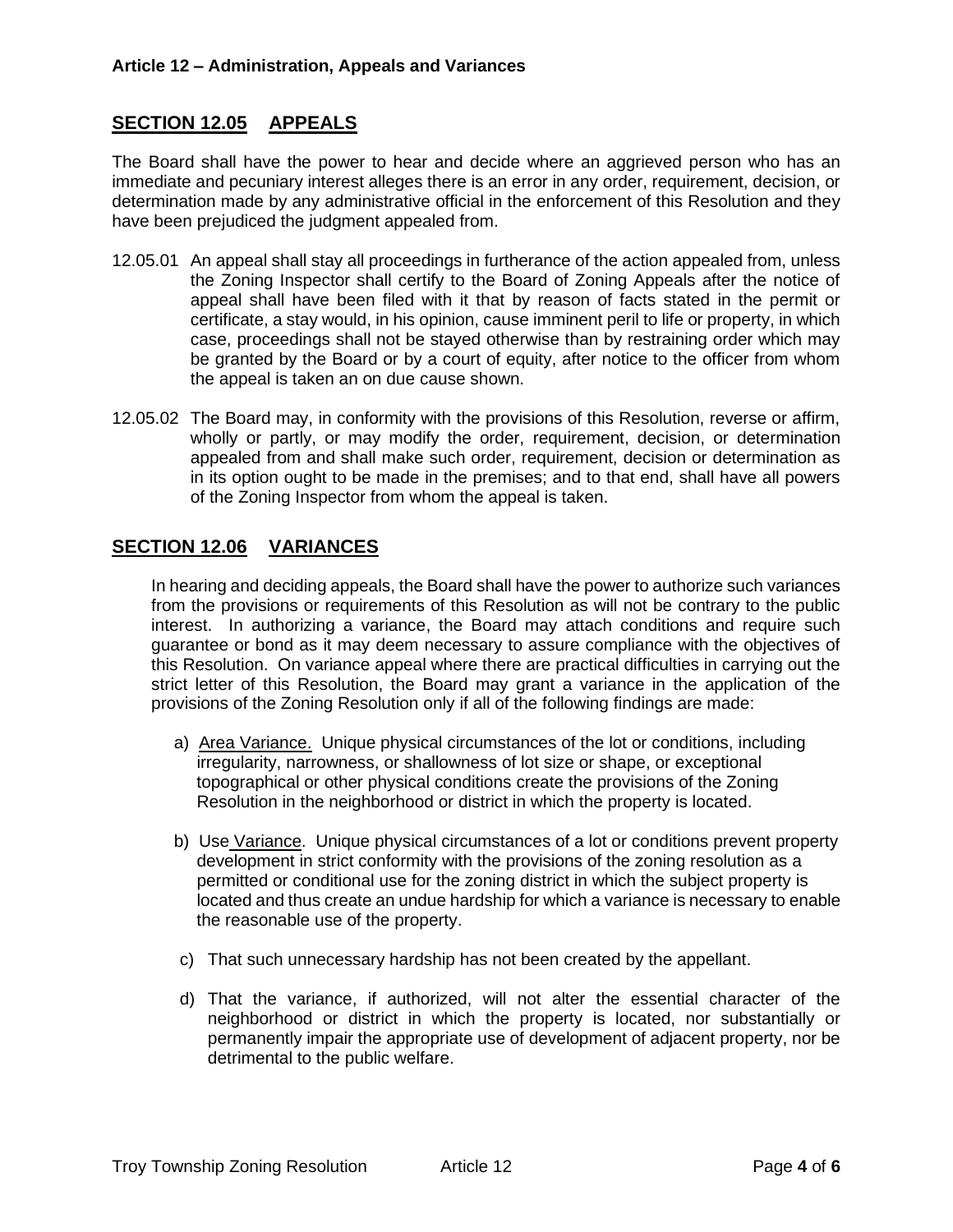## **SECTION 12.05 APPEALS**

The Board shall have the power to hear and decide where an aggrieved person who has an immediate and pecuniary interest alleges there is an error in any order, requirement, decision, or determination made by any administrative official in the enforcement of this Resolution and they have been prejudiced the judgment appealed from.

- 12.05.01 An appeal shall stay all proceedings in furtherance of the action appealed from, unless the Zoning Inspector shall certify to the Board of Zoning Appeals after the notice of appeal shall have been filed with it that by reason of facts stated in the permit or certificate, a stay would, in his opinion, cause imminent peril to life or property, in which case, proceedings shall not be stayed otherwise than by restraining order which may be granted by the Board or by a court of equity, after notice to the officer from whom the appeal is taken an on due cause shown.
- 12.05.02 The Board may, in conformity with the provisions of this Resolution, reverse or affirm, wholly or partly, or may modify the order, requirement, decision, or determination appealed from and shall make such order, requirement, decision or determination as in its option ought to be made in the premises; and to that end, shall have all powers of the Zoning Inspector from whom the appeal is taken.

## **SECTION 12.06 VARIANCES**

In hearing and deciding appeals, the Board shall have the power to authorize such variances from the provisions or requirements of this Resolution as will not be contrary to the public interest. In authorizing a variance, the Board may attach conditions and require such guarantee or bond as it may deem necessary to assure compliance with the objectives of this Resolution. On variance appeal where there are practical difficulties in carrying out the strict letter of this Resolution, the Board may grant a variance in the application of the provisions of the Zoning Resolution only if all of the following findings are made:

- a) Area Variance. Unique physical circumstances of the lot or conditions, including irregularity, narrowness, or shallowness of lot size or shape, or exceptional topographical or other physical conditions create the provisions of the Zoning Resolution in the neighborhood or district in which the property is located.
- b) Use Variance. Unique physical circumstances of a lot or conditions prevent property development in strict conformity with the provisions of the zoning resolution as a permitted or conditional use for the zoning district in which the subject property is located and thus create an undue hardship for which a variance is necessary to enable the reasonable use of the property.
- c) That such unnecessary hardship has not been created by the appellant.
- d) That the variance, if authorized, will not alter the essential character of the neighborhood or district in which the property is located, nor substantially or permanently impair the appropriate use of development of adjacent property, nor be detrimental to the public welfare.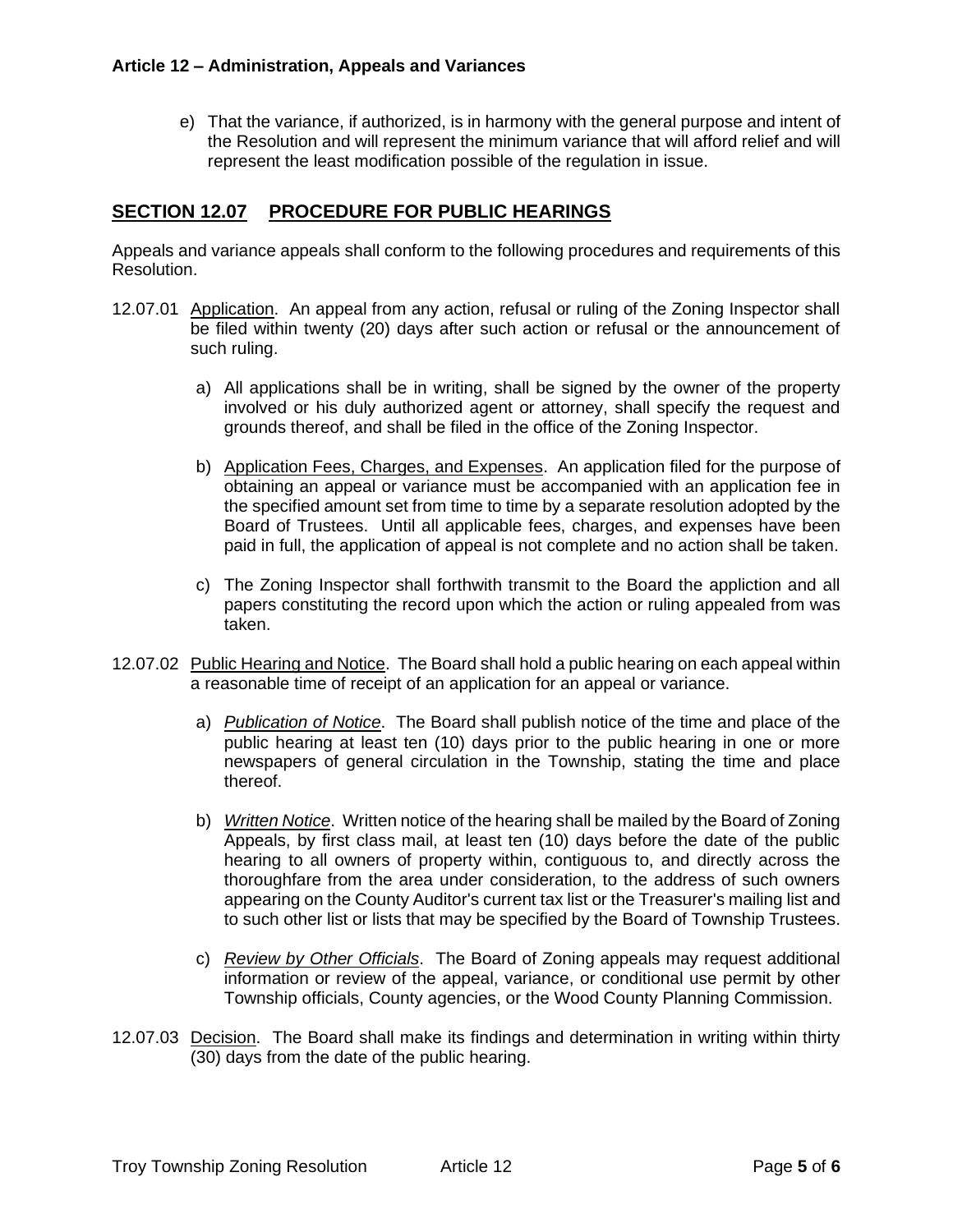e) That the variance, if authorized, is in harmony with the general purpose and intent of the Resolution and will represent the minimum variance that will afford relief and will represent the least modification possible of the regulation in issue.

## **SECTION 12.07 PROCEDURE FOR PUBLIC HEARINGS**

Appeals and variance appeals shall conform to the following procedures and requirements of this Resolution.

- 12.07.01 Application. An appeal from any action, refusal or ruling of the Zoning Inspector shall be filed within twenty (20) days after such action or refusal or the announcement of such ruling.
	- a) All applications shall be in writing, shall be signed by the owner of the property involved or his duly authorized agent or attorney, shall specify the request and grounds thereof, and shall be filed in the office of the Zoning Inspector.
	- b) Application Fees, Charges, and Expenses. An application filed for the purpose of obtaining an appeal or variance must be accompanied with an application fee in the specified amount set from time to time by a separate resolution adopted by the Board of Trustees. Until all applicable fees, charges, and expenses have been paid in full, the application of appeal is not complete and no action shall be taken.
	- c) The Zoning Inspector shall forthwith transmit to the Board the appliction and all papers constituting the record upon which the action or ruling appealed from was taken.
- 12.07.02 Public Hearing and Notice. The Board shall hold a public hearing on each appeal within a reasonable time of receipt of an application for an appeal or variance.
	- a) *Publication of Notice*. The Board shall publish notice of the time and place of the public hearing at least ten (10) days prior to the public hearing in one or more newspapers of general circulation in the Township, stating the time and place thereof.
	- b) *Written Notice*. Written notice of the hearing shall be mailed by the Board of Zoning Appeals, by first class mail, at least ten (10) days before the date of the public hearing to all owners of property within, contiguous to, and directly across the thoroughfare from the area under consideration, to the address of such owners appearing on the County Auditor's current tax list or the Treasurer's mailing list and to such other list or lists that may be specified by the Board of Township Trustees.
	- c) *Review by Other Officials*. The Board of Zoning appeals may request additional information or review of the appeal, variance, or conditional use permit by other Township officials, County agencies, or the Wood County Planning Commission.
- 12.07.03 Decision. The Board shall make its findings and determination in writing within thirty (30) days from the date of the public hearing.